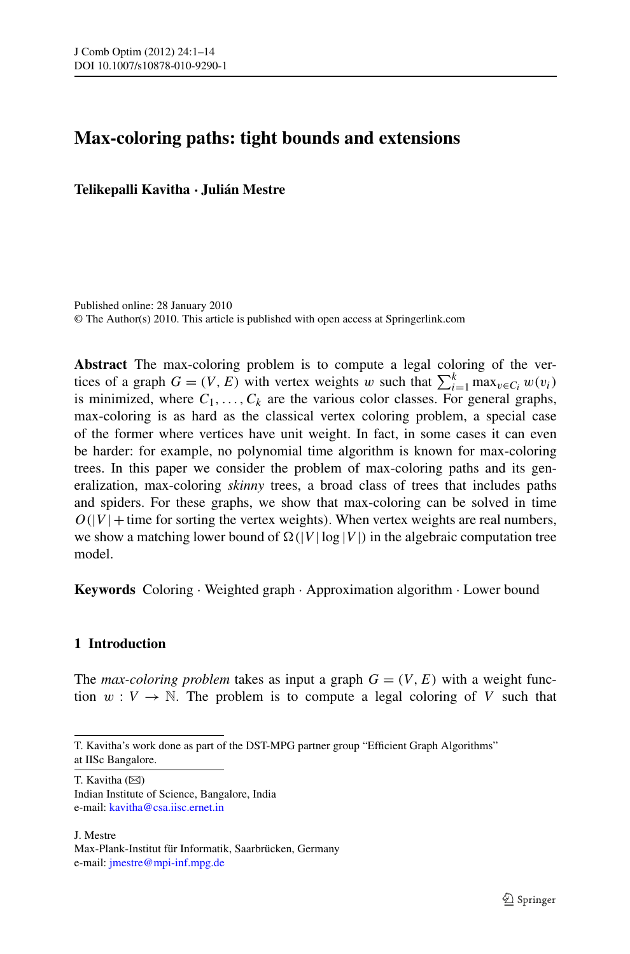# **Max-coloring paths: tight bounds and extensions**

**Telikepalli Kavitha · Julián Mestre**

Published online: 28 January 2010 © The Author(s) 2010. This article is published with open access at Springerlink.com

**Abstract** The max-coloring problem is to compute a legal coloring of the vertices of a graph  $G = (V, E)$  with vertex weights *w* such that  $\sum_{i=1}^{k} \max_{v \in C_i} w(v_i)$ is minimized, where  $C_1, \ldots, C_k$  are the various color classes. For general graphs, max-coloring is as hard as the classical vertex coloring problem, a special case of the former where vertices have unit weight. In fact, in some cases it can even be harder: for example, no polynomial time algorithm is known for max-coloring trees. In this paper we consider the problem of max-coloring paths and its generalization, max-coloring *skinny* trees, a broad class of trees that includes paths and spiders. For these graphs, we show that max-coloring can be solved in time  $O(|V| +$  time for sorting the vertex weights). When vertex weights are real numbers, we show a matching lower bound of  $\Omega(|V| \log |V|)$  in the algebraic computation tree model.

**Keywords** Coloring · Weighted graph · Approximation algorithm · Lower bound

## **1 Introduction**

The *max-coloring problem* takes as input a graph  $G = (V, E)$  with a weight function  $w: V \to \mathbb{N}$ . The problem is to compute a legal coloring of *V* such that

T. Kavitha  $(\boxtimes)$ Indian Institute of Science, Bangalore, India e-mail: [kavitha@csa.iisc.ernet.in](mailto:kavitha@csa.iisc.ernet.in)

J. Mestre

T. Kavitha's work done as part of the DST-MPG partner group "Efficient Graph Algorithms" at IISc Bangalore.

Max-Plank-Institut für Informatik, Saarbrücken, Germany e-mail: [jmestre@mpi-inf.mpg.de](mailto:jmestre@mpi-inf.mpg.de)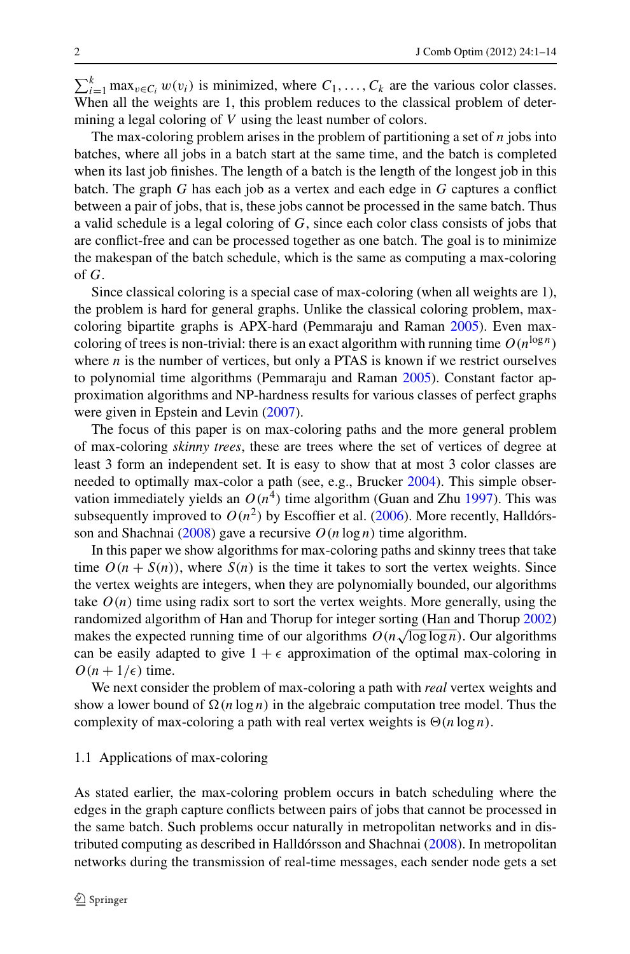$\sum_{i=1}^{k} \max_{v \in C_i} w(v_i)$  is minimized, where  $C_1, \ldots, C_k$  are the various color classes. When all the weights are 1, this problem reduces to the classical problem of determining a legal coloring of *V* using the least number of colors.

The max-coloring problem arises in the problem of partitioning a set of *n* jobs into batches, where all jobs in a batch start at the same time, and the batch is completed when its last job finishes. The length of a batch is the length of the longest job in this batch. The graph *G* has each job as a vertex and each edge in *G* captures a conflict between a pair of jobs, that is, these jobs cannot be processed in the same batch. Thus a valid schedule is a legal coloring of *G*, since each color class consists of jobs that are conflict-free and can be processed together as one batch. The goal is to minimize the makespan of the batch schedule, which is the same as computing a max-coloring of *G*.

Since classical coloring is a special case of max-coloring (when all weights are 1), the problem is hard for general graphs. Unlike the classical coloring problem, maxcoloring bipartite graphs is APX-hard (Pemmaraju and Raman [2005](#page-13-0)). Even maxcoloring of trees is non-trivial: there is an exact algorithm with running time  $O(n^{\log n})$ where *n* is the number of vertices, but only a PTAS is known if we restrict ourselves to polynomial time algorithms (Pemmaraju and Raman [2005\)](#page-13-0). Constant factor approximation algorithms and NP-hardness results for various classes of perfect graphs were given in Epstein and Levin  $(2007)$  $(2007)$ .

The focus of this paper is on max-coloring paths and the more general problem of max-coloring *skinny trees*, these are trees where the set of vertices of degree at least 3 form an independent set. It is easy to show that at most 3 color classes are needed to optimally max-color a path (see, e.g., Brucker [2004](#page-13-2)). This simple observation immediately yields an  $O(n^4)$  time algorithm (Guan and Zhu [1997](#page-13-3)). This was subsequently improved to  $O(n^2)$  by Escoffier et al. ([2006\)](#page-13-4). More recently, Halldórs-son and Shachnai [\(2008](#page-13-5)) gave a recursive  $O(n \log n)$  time algorithm.

In this paper we show algorithms for max-coloring paths and skinny trees that take time  $O(n + S(n))$ , where  $S(n)$  is the time it takes to sort the vertex weights. Since the vertex weights are integers, when they are polynomially bounded, our algorithms take  $O(n)$  time using radix sort to sort the vertex weights. More generally, using the randomized algorithm of Han and Thorup for integer sorting (Han and Thorup [2002](#page-13-6)) makes the expected running time of our algorithms  $O(n\sqrt{\log \log n})$ . Our algorithms can be easily adapted to give  $1 + \epsilon$  approximation of the optimal max-coloring in  $O(n + 1/\epsilon)$  time.

We next consider the problem of max-coloring a path with *real* vertex weights and show a lower bound of  $\Omega(n \log n)$  in the algebraic computation tree model. Thus the complexity of max-coloring a path with real vertex weights is  $\Theta(n \log n)$ .

### 1.1 Applications of max-coloring

As stated earlier, the max-coloring problem occurs in batch scheduling where the edges in the graph capture conflicts between pairs of jobs that cannot be processed in the same batch. Such problems occur naturally in metropolitan networks and in distributed computing as described in Halldórsson and Shachnai [\(2008](#page-13-5)). In metropolitan networks during the transmission of real-time messages, each sender node gets a set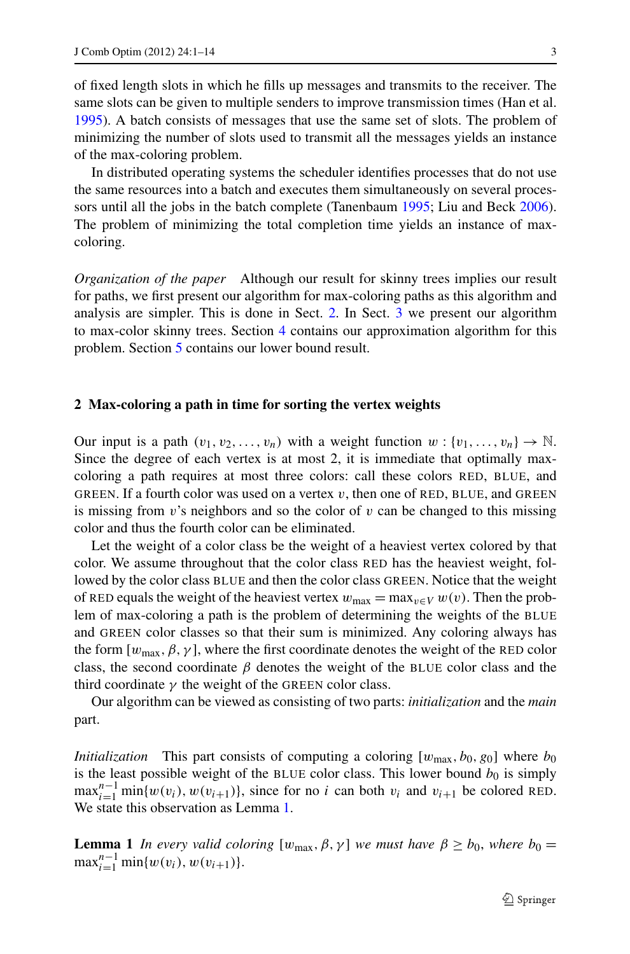of fixed length slots in which he fills up messages and transmits to the receiver. The same slots can be given to multiple senders to improve transmission times (Han et al. [1995\)](#page-13-7). A batch consists of messages that use the same set of slots. The problem of minimizing the number of slots used to transmit all the messages yields an instance of the max-coloring problem.

In distributed operating systems the scheduler identifies processes that do not use the same resources into a batch and executes them simultaneously on several processors until all the jobs in the batch complete (Tanenbaum [1995](#page-13-8); Liu and Beck [2006\)](#page-13-9). The problem of minimizing the total completion time yields an instance of maxcoloring.

<span id="page-2-0"></span>*Organization of the paper* Although our result for skinny trees implies our result for paths, we first present our algorithm for max-coloring paths as this algorithm and analysis are simpler. This is done in Sect. [2](#page-2-0). In Sect. [3](#page-5-0) we present our algorithm to max-color skinny trees. Section [4](#page-9-0) contains our approximation algorithm for this problem. Section [5](#page-9-1) contains our lower bound result.

#### **2 Max-coloring a path in time for sorting the vertex weights**

Our input is a path  $(v_1, v_2, \ldots, v_n)$  with a weight function  $w : \{v_1, \ldots, v_n\} \to \mathbb{N}$ . Since the degree of each vertex is at most 2, it is immediate that optimally maxcoloring a path requires at most three colors: call these colors RED, BLUE, and GREEN. If a fourth color was used on a vertex  $v$ , then one of RED, BLUE, and GREEN is missing from *v*'s neighbors and so the color of *v* can be changed to this missing color and thus the fourth color can be eliminated.

Let the weight of a color class be the weight of a heaviest vertex colored by that color. We assume throughout that the color class RED has the heaviest weight, followed by the color class BLUE and then the color class GREEN. Notice that the weight of RED equals the weight of the heaviest vertex  $w_{\text{max}} = \max_{v \in V} w(v)$ . Then the problem of max-coloring a path is the problem of determining the weights of the BLUE and GREEN color classes so that their sum is minimized. Any coloring always has the form  $[w_{\text{max}}, \beta, \gamma]$ , where the first coordinate denotes the weight of the RED color class, the second coordinate  $\beta$  denotes the weight of the BLUE color class and the third coordinate  $\gamma$  the weight of the GREEN color class.

<span id="page-2-1"></span>Our algorithm can be viewed as consisting of two parts: *initialization* and the *main* part.

*Initialization* This part consists of computing a coloring  $[w_{\text{max}}, b_0, g_0]$  where  $b_0$ is the least possible weight of the BLUE color class. This lower bound  $b_0$  is simply  $\max_{i=1}^{n-1} \min\{w(v_i), w(v_{i+1})\}$ , since for no *i* can both  $v_i$  and  $v_{i+1}$  be colored RED. We state this observation as Lemma [1](#page-2-1).

**Lemma 1** *In every valid coloring* [ $w_{\text{max}}, \beta, \gamma$ ] *we must have*  $\beta \ge b_0$ *, where*  $b_0 =$  $\max_{i=1}^{n-1} \min\{w(v_i), w(v_{i+1})\}.$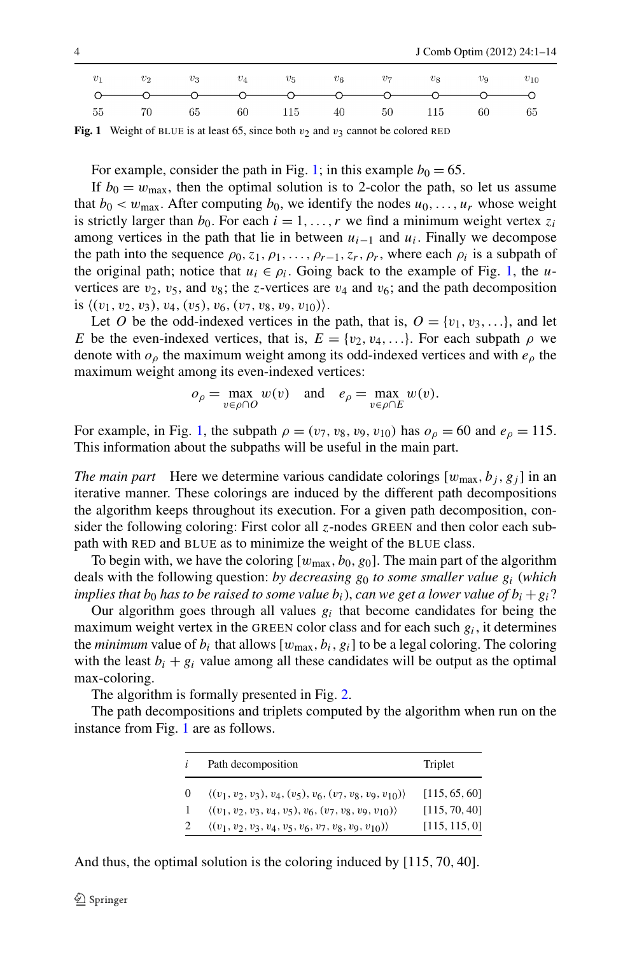<span id="page-3-0"></span>

**Fig. 1** Weight of BLUE is at least 65, since both  $v_2$  and  $v_3$  cannot be colored RED

For example, consider the path in Fig. [1;](#page-3-0) in this example  $b_0 = 65$ .

If  $b_0 = w_{\text{max}}$ , then the optimal solution is to 2-color the path, so let us assume that  $b_0 < w_{\text{max}}$ . After computing  $b_0$ , we identify the nodes  $u_0, \ldots, u_r$  whose weight is strictly larger than  $b_0$ . For each  $i = 1, \ldots, r$  we find a minimum weight vertex  $z_i$ among vertices in the path that lie in between *ui*<sup>−</sup><sup>1</sup> and *ui*. Finally we decompose the path into the sequence  $\rho_0, z_1, \rho_1, \ldots, \rho_{r-1}, z_r, \rho_r$ , where each  $\rho_i$  is a subpath of the original path; notice that  $u_i \in \rho_i$ . Going back to the example of Fig. [1,](#page-3-0) the *u*vertices are  $v_2$ ,  $v_5$ , and  $v_8$ ; the *z*-vertices are  $v_4$  and  $v_6$ ; and the path decomposition is  $\langle (v_1, v_2, v_3), v_4, (v_5), v_6, (v_7, v_8, v_9, v_{10}) \rangle$ .

Let *O* be the odd-indexed vertices in the path, that is,  $O = \{v_1, v_3, ...\}$ , and let *E* be the even-indexed vertices, that is,  $E = \{v_2, v_4, \ldots\}$ . For each subpath  $\rho$  we denote with *oρ* the maximum weight among its odd-indexed vertices and with *eρ* the maximum weight among its even-indexed vertices:

$$
o_{\rho} = \max_{v \in \rho \cap O} w(v) \quad \text{and} \quad e_{\rho} = \max_{v \in \rho \cap E} w(v).
$$

For example, in Fig. [1,](#page-3-0) the subpath  $\rho = (v_7, v_8, v_9, v_{10})$  has  $o_\rho = 60$  and  $e_\rho = 115$ . This information about the subpaths will be useful in the main part.

*The main part* Here we determine various candidate colorings  $[w_{\text{max}}, b_i, g_j]$  in an iterative manner. These colorings are induced by the different path decompositions the algorithm keeps throughout its execution. For a given path decomposition, consider the following coloring: First color all *z*-nodes GREEN and then color each subpath with RED and BLUE as to minimize the weight of the BLUE class.

To begin with, we have the coloring  $[w_{\text{max}}, b_0, g_0]$ . The main part of the algorithm deals with the following question: *by decreasing g*<sup>0</sup> *to some smaller value gi* (*which implies that*  $b_0$  *has to be raised to some value*  $b_i$ *), can we get a lower value of*  $b_i + g_i$ ?

Our algorithm goes through all values  $g_i$  that become candidates for being the maximum weight vertex in the GREEN color class and for each such  $g_i$ , it determines the *minimum* value of  $b_i$  that allows  $[w_{\text{max}}, b_i, g_i]$  to be a legal coloring. The coloring with the least  $b_i + g_i$  value among all these candidates will be output as the optimal max-coloring.

The algorithm is formally presented in Fig. [2](#page-4-0).

The path decompositions and triplets computed by the algorithm when run on the instance from Fig. [1](#page-3-0) are as follows.

| i | Path decomposition                                                                                                                                       | Triplet                        |
|---|----------------------------------------------------------------------------------------------------------------------------------------------------------|--------------------------------|
| 0 | $\langle (v_1, v_2, v_3), v_4, (v_5), v_6, (v_7, v_8, v_9, v_{10}) \rangle$<br>$\langle (v_1, v_2, v_3, v_4, v_5), v_6, (v_7, v_8, v_9, v_{10}) \rangle$ | [115, 65, 60]<br>[115, 70, 40] |
|   | $\langle (v_1, v_2, v_3, v_4, v_5, v_6, v_7, v_8, v_9, v_{10}) \rangle$                                                                                  | [115, 115, 0]                  |

And thus, the optimal solution is the coloring induced by [115*,* 70*,* 40].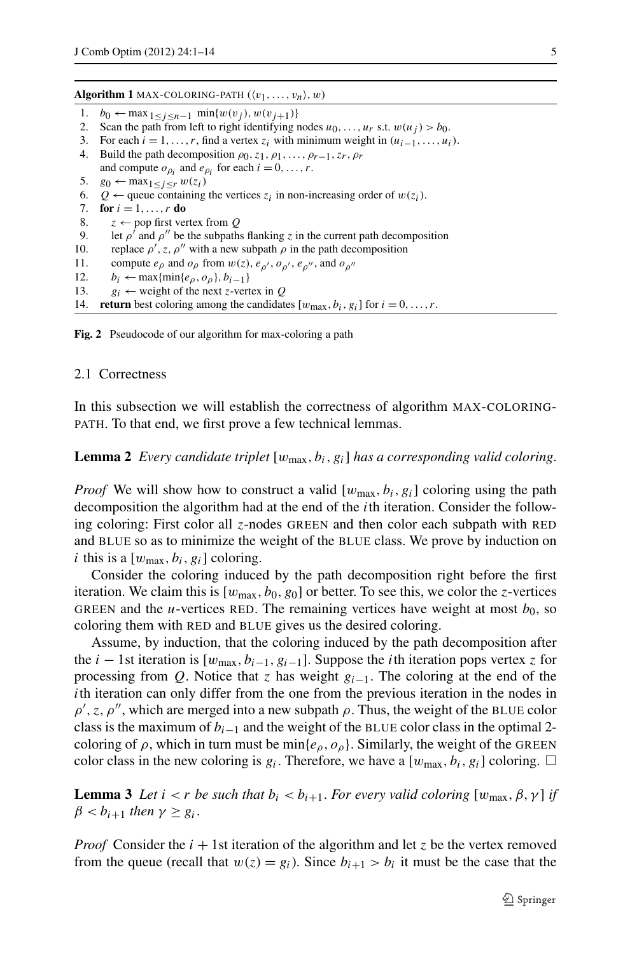- 1. *b*<sub>0</sub> ← max<sub>1≤*j*<*n*−1</sub> min{ $w(v_j)$ ,  $w(v_{j+1})$ }
- 2. Scan the path from left to right identifying nodes  $u_0, \ldots, u_r$  s.t.  $w(u_j) > b_0$ .
- 3. For each  $i = 1, \ldots, r$ , find a vertex  $z_i$  with minimum weight in  $(u_{i-1}, \ldots, u_i)$ .
- 4. Build the path decomposition  $\rho_0, z_1, \rho_1, \ldots, \rho_{r-1}, z_r, \rho_r$ and compute  $o_{\rho_i}$  and  $e_{\rho_i}$  for each  $i = 0, \ldots, r$ .
- 5. *g*<sup>0</sup> ← max<sub>1≤*j*≤*r*</sub>  $w(z_i)$
- <span id="page-4-0"></span>6. *Q* ← queue containing the vertices  $z_i$  in non-increasing order of  $w(z_i)$ .<br>7. **for**  $i = 1, ..., r$  **do**
- 7. **for**  $i = 1, ..., r$  **do**<br>8.  $z \leftarrow \text{pop first}$
- $z \leftarrow$  pop first vertex from *Q*
- 9. let  $\rho'$  and  $\rho''$  be the subpaths flanking *z* in the current path decomposition
- 10. replace  $\rho'$ , z,  $\rho''$  with a new subpath  $\rho$  in the path decomposition
- 11. compute  $e_\rho$  and  $o_\rho$  from  $w(z)$ ,  $e_{\rho'}$ ,  $o_{\rho'}$ ,  $e_{\rho''}$ , and  $o_{\rho''}$ <br>12.  $h \leftarrow \max\{\min\{e_{\rho}, o_{\rho}\}, h_{\rho+1}\}$
- 12. *b<sub>i</sub>* ← max{min{*e<sub>p</sub>*, *o<sub>p</sub>*}, *b<sub>i</sub>*−1}<br>13 *o<sub>i</sub>* ← weight of the next *z*-ver
- $g_i \leftarrow$  weight of the next *z*-vertex in *Q*
- 14. **return** best coloring among the candidates  $[w_{\text{max}}, b_i, g_i]$  for  $i = 0, \ldots, r$ .

<span id="page-4-1"></span>**Fig. 2** Pseudocode of our algorithm for max-coloring a path

#### 2.1 Correctness

In this subsection we will establish the correctness of algorithm MAX-COLORING-PATH. To that end, we first prove a few technical lemmas.

**Lemma 2** *Every candidate triplet* [ $w_{\text{max}}$ ,  $b_i$ ,  $g_i$ ] *has a corresponding valid coloring.* 

*Proof* We will show how to construct a valid  $[w_{\text{max}}, b_i, g_i]$  coloring using the path decomposition the algorithm had at the end of the *i*th iteration. Consider the following coloring: First color all *z*-nodes GREEN and then color each subpath with RED and BLUE so as to minimize the weight of the BLUE class. We prove by induction on *i* this is a  $[w_{\text{max}}, b_i, g_i]$  coloring.

Consider the coloring induced by the path decomposition right before the first iteration. We claim this is  $[w_{\text{max}}, b_0, g_0]$  or better. To see this, we color the *z*-vertices GREEN and the *u*-vertices RED. The remaining vertices have weight at most  $b_0$ , so coloring them with RED and BLUE gives us the desired coloring.

<span id="page-4-2"></span>Assume, by induction, that the coloring induced by the path decomposition after the *i* − 1st iteration is  $[w_{\text{max}}, b_{i-1}, g_{i-1}]$ . Suppose the *i*th iteration pops vertex *z* for processing from *Q*. Notice that *z* has weight *gi*−1. The coloring at the end of the *i*th iteration can only differ from the one from the previous iteration in the nodes in  $\rho'$ , z,  $\rho''$ , which are merged into a new subpath  $\rho$ . Thus, the weight of the BLUE color class is the maximum of *bi*<sup>−</sup><sup>1</sup> and the weight of the BLUE color class in the optimal 2 coloring of  $\rho$ , which in turn must be min $\{e_{\rho}, o_{\rho}\}$ . Similarly, the weight of the GREEN color class in the new coloring is  $g_i$ . Therefore, we have a  $[w_{\text{max}}, b_i, g_i]$  coloring.  $\Box$ 

**Lemma 3** *Let*  $i < r$  *be such that*  $b_i < b_{i+1}$ *. For every valid coloring*  $[w_{\text{max}}, \beta, \gamma]$  *if*  $\beta < b_{i+1}$  *then*  $\gamma \geq g_i$ .

*Proof* Consider the  $i + 1$ st iteration of the algorithm and let *z* be the vertex removed from the queue (recall that  $w(z) = g_i$ ). Since  $b_{i+1} > b_i$  it must be the case that the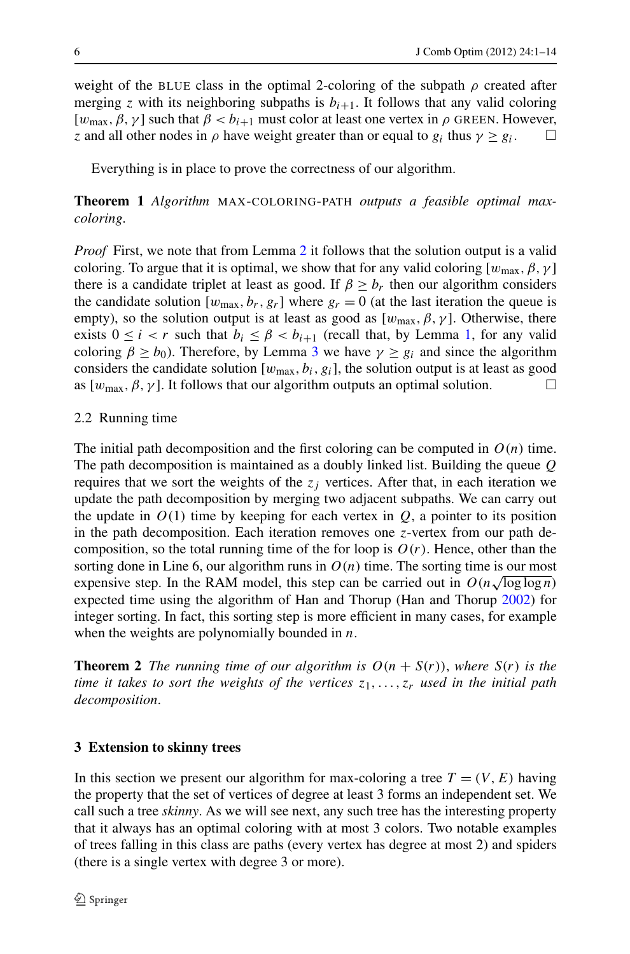weight of the BLUE class in the optimal 2-coloring of the subpath  $\rho$  created after merging *z* with its neighboring subpaths is  $b_{i+1}$ . It follows that any valid coloring [ $w_{\text{max}}$ ,  $\beta$ ,  $\gamma$ ] such that  $\beta < b_{i+1}$  must color at least one vertex in  $\rho$  GREEN. However, *z* and all other nodes in  $\rho$  have weight greater than or equal to  $g_i$  thus  $\gamma \ge g_i$ .

Everything is in place to prove the correctness of our algorithm.

# **Theorem 1** *Algorithm* MAX-COLORING-PATH *outputs a feasible optimal maxcoloring*.

*Proof* First, we note that from Lemma [2](#page-4-1) it follows that the solution output is a valid coloring. To argue that it is optimal, we show that for any valid coloring  $[w_{\text{max}}, \beta, \gamma]$ there is a candidate triplet at least as good. If  $\beta > b_r$  then our algorithm considers the candidate solution  $[w_{\text{max}}, b_r, g_r]$  where  $g_r = 0$  (at the last iteration the queue is empty), so the solution output is at least as good as  $[w_{\text{max}}, \beta, \gamma]$ . Otherwise, there exists  $0 \le i < r$  such that  $b_i \le \beta < b_{i+1}$  $b_i \le \beta < b_{i+1}$  $b_i \le \beta < b_{i+1}$  (recall that, by Lemma 1, for any valid coloring  $\beta \ge b_0$ ). Therefore, by Lemma [3](#page-4-2) we have  $\gamma \ge g_i$  and since the algorithm considers the candidate solution  $[w_{\text{max}}, b_i, g_i]$ , the solution output is at least as good as  $[w_{\text{max}}, \beta, \gamma]$ . It follows that our algorithm outputs an optimal solution.  $\square$ 

## 2.2 Running time

<span id="page-5-1"></span>The initial path decomposition and the first coloring can be computed in  $O(n)$  time. The path decomposition is maintained as a doubly linked list. Building the queue *Q* requires that we sort the weights of the  $z_j$  vertices. After that, in each iteration we update the path decomposition by merging two adjacent subpaths. We can carry out the update in  $O(1)$  time by keeping for each vertex in  $Q$ , a pointer to its position in the path decomposition. Each iteration removes one *z*-vertex from our path decomposition, so the total running time of the for loop is  $O(r)$ . Hence, other than the sorting done in Line 6, our algorithm runs in  $O(n)$  time. The sorting time is our most expensive step. In the RAM model, this step can be carried out in  $O(n\sqrt{\log \log n})$ expected time using the algorithm of Han and Thorup (Han and Thorup [2002](#page-13-6)) for integer sorting. In fact, this sorting step is more efficient in many cases, for example when the weights are polynomially bounded in *n*.

<span id="page-5-0"></span>**Theorem 2** *The running time of our algorithm is*  $O(n + S(r))$ *, where*  $S(r)$  *is the time it takes to sort the weights of the vertices z*1*,...,zr used in the initial path decomposition*.

# **3 Extension to skinny trees**

In this section we present our algorithm for max-coloring a tree  $T = (V, E)$  having the property that the set of vertices of degree at least 3 forms an independent set. We call such a tree *skinny*. As we will see next, any such tree has the interesting property that it always has an optimal coloring with at most 3 colors. Two notable examples of trees falling in this class are paths (every vertex has degree at most 2) and spiders (there is a single vertex with degree 3 or more).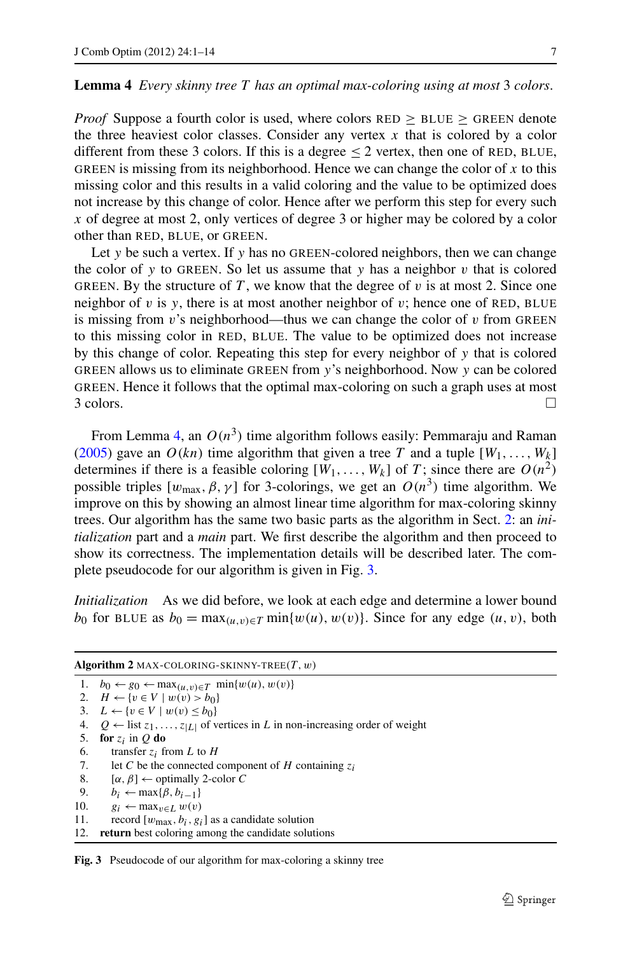#### <span id="page-6-0"></span>**Lemma 4** *Every skinny tree T has an optimal max-coloring using at most* 3 *colors*.

*Proof* Suppose a fourth color is used, where colors  $RED > BLUE > GREEN$  denote the three heaviest color classes. Consider any vertex  $x$  that is colored by a color different from these 3 colors. If this is a degree  $\leq$  2 vertex, then one of RED, BLUE, GREEN is missing from its neighborhood. Hence we can change the color of *x* to this missing color and this results in a valid coloring and the value to be optimized does not increase by this change of color. Hence after we perform this step for every such *x* of degree at most 2, only vertices of degree 3 or higher may be colored by a color other than RED, BLUE, or GREEN.

Let *y* be such a vertex. If *y* has no GREEN-colored neighbors, then we can change the color of *y* to GREEN. So let us assume that *y* has a neighbor *v* that is colored GREEN. By the structure of  $T$ , we know that the degree of  $v$  is at most 2. Since one neighbor of  $v$  is  $y$ , there is at most another neighbor of  $v$ ; hence one of RED, BLUE is missing from  $v$ 's neighborhood—thus we can change the color of  $v$  from GREEN to this missing color in RED, BLUE. The value to be optimized does not increase by this change of color. Repeating this step for every neighbor of *y* that is colored GREEN allows us to eliminate GREEN from *y*'s neighborhood. Now *y* can be colored GREEN. Hence it follows that the optimal max-coloring on such a graph uses at most  $3$  colors.

From Lemma [4](#page-6-0), an  $O(n^3)$  time algorithm follows easily: Pemmaraju and Raman [\(2005](#page-13-0)) gave an  $O(kn)$  time algorithm that given a tree T and a tuple  $[W_1, \ldots, W_k]$ determines if there is a feasible coloring  $[W_1, \ldots, W_k]$  of *T*; since there are  $O(n^2)$ possible triples  $[w_{\text{max}}, \beta, \gamma]$  for 3-colorings, we get an  $O(n^3)$  time algorithm. We improve on this by showing an almost linear time algorithm for max-coloring skinny trees. Our algorithm has the same two basic parts as the algorithm in Sect. [2](#page-2-0): an *initialization* part and a *main* part. We first describe the algorithm and then proceed to show its correctness. The implementation details will be described later. The complete pseudocode for our algorithm is given in Fig. [3](#page-6-1).

*Initialization* As we did before, we look at each edge and determine a lower bound *b*<sub>0</sub> for BLUE as  $b_0 = \max_{(u,v)\in T} \min\{w(u), w(v)\}$ . Since for any edge  $(u, v)$ , both

<span id="page-6-1"></span>

| <b>Algorithm 2</b> MAX-COLORING-SKINNY-TREE $(T, w)$ |                                                                                                  |  |
|------------------------------------------------------|--------------------------------------------------------------------------------------------------|--|
|                                                      | 1. $b_0 \leftarrow g_0 \leftarrow \max_{(u,v) \in T} \min\{w(u), w(v)\}\$                        |  |
|                                                      | 2. $H \leftarrow \{v \in V \mid w(v) > b_0\}$                                                    |  |
|                                                      | 3. $L \leftarrow \{v \in V \mid w(v) \leq b_0\}$                                                 |  |
|                                                      | 4. $Q \leftarrow$ list $z_1, \ldots, z_{ L }$ of vertices in L in non-increasing order of weight |  |
| 5.                                                   | for $z_i$ in O do                                                                                |  |
| 6.                                                   | transfer $z_i$ from L to H                                                                       |  |
| 7.                                                   | let C be the connected component of H containing $z_i$                                           |  |
| 8.                                                   | $[\alpha, \beta] \leftarrow$ optimally 2-color C                                                 |  |
| 9.                                                   | $b_i \leftarrow \max\{\beta, b_{i-1}\}\$                                                         |  |
| 10.                                                  | $g_i \leftarrow \max_{v \in I} w(v)$                                                             |  |
| 11.                                                  | record $[w_{\text{max}}, b_i, g_i]$ as a candidate solution                                      |  |
| 12.                                                  | return best coloring among the candidate solutions                                               |  |

Fig. 3 Pseudocode of our algorithm for max-coloring a skinny tree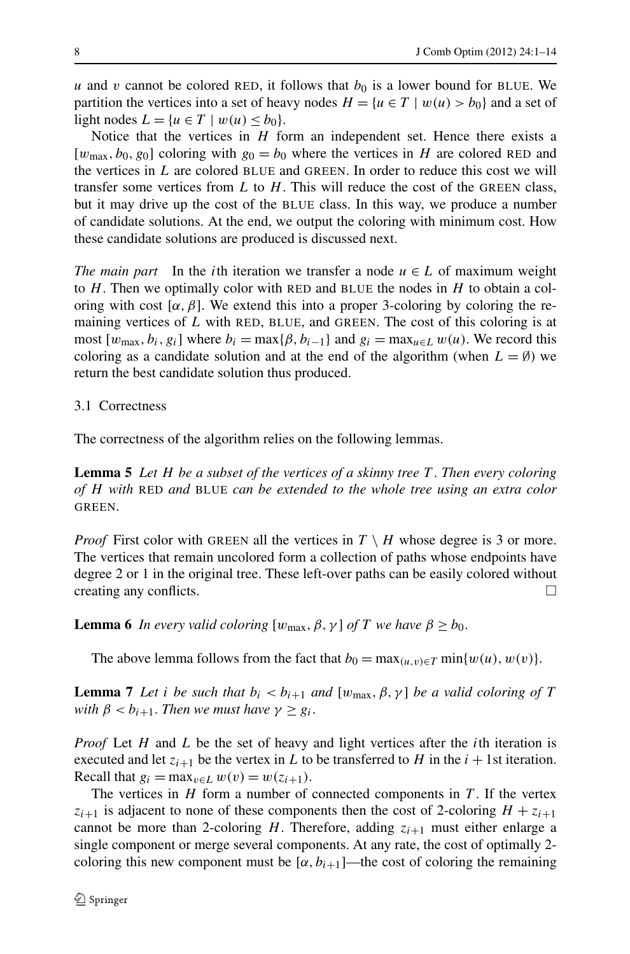*u* and *v* cannot be colored RED, it follows that  $b<sub>0</sub>$  is a lower bound for BLUE. We partition the vertices into a set of heavy nodes  $H = \{u \in T \mid w(u) > b_0\}$  and a set of light nodes  $L = \{u \in T \mid w(u) \le b_0\}.$ 

Notice that the vertices in *H* form an independent set. Hence there exists a  $[w_{\text{max}}, b_0, g_0]$  coloring with  $g_0 = b_0$  where the vertices in *H* are colored RED and the vertices in *L* are colored BLUE and GREEN. In order to reduce this cost we will transfer some vertices from  $L$  to  $H$ . This will reduce the cost of the GREEN class, but it may drive up the cost of the BLUE class. In this way, we produce a number of candidate solutions. At the end, we output the coloring with minimum cost. How these candidate solutions are produced is discussed next.

*The main part* In the *i*th iteration we transfer a node  $u \in L$  of maximum weight to *H*. Then we optimally color with RED and BLUE the nodes in *H* to obtain a coloring with cost  $[\alpha, \beta]$ . We extend this into a proper 3-coloring by coloring the remaining vertices of *L* with RED, BLUE, and GREEN. The cost of this coloring is at most  $[w_{\text{max}}, b_i, g_i]$  where  $b_i = \max{\{\beta, b_{i-1}\}}$  and  $g_i = \max_{u \in L} w(u)$ . We record this coloring as a candidate solution and at the end of the algorithm (when  $L = \emptyset$ ) we return the best candidate solution thus produced.

## <span id="page-7-0"></span>3.1 Correctness

The correctness of the algorithm relies on the following lemmas.

**Lemma 5** *Let H be a subset of the vertices of a skinny tree T* . *Then every coloring of H with* RED *and* BLUE *can be extended to the whole tree using an extra color* **GREEN.** 

<span id="page-7-1"></span>*Proof* First color with GREEN all the vertices in  $T \setminus H$  whose degree is 3 or more. The vertices that remain uncolored form a collection of paths whose endpoints have degree 2 or 1 in the original tree. These left-over paths can be easily colored without creating any conflicts.  $\Box$ 

**Lemma 6** *In every valid coloring*  $[w_{\text{max}}, \beta, \gamma]$  *of T we have*  $\beta \ge b_0$ .

The above lemma follows from the fact that  $b_0 = \max_{(u,v)\in T} \min\{w(u), w(v)\}.$ 

**Lemma 7** *Let i be such that*  $b_i < b_{i+1}$  *and*  $[w_{max}, \beta, \gamma]$  *be a valid coloring of T with*  $\beta < b_{i+1}$ *. Then we must have*  $\gamma \geq g_i$ *.* 

*Proof* Let *H* and *L* be the set of heavy and light vertices after the *i*th iteration is executed and let  $z_{i+1}$  be the vertex in *L* to be transferred to *H* in the  $i + 1$ st iteration. Recall that  $g_i = \max_{v \in L} w(v) = w(z_{i+1})$ .

The vertices in  $H$  form a number of connected components in  $T$ . If the vertex  $z_{i+1}$  is adjacent to none of these components then the cost of 2-coloring  $H + z_{i+1}$ cannot be more than 2-coloring *H*. Therefore, adding  $z_{i+1}$  must either enlarge a single component or merge several components. At any rate, the cost of optimally 2 coloring this new component must be  $[\alpha, b_{i+1}]$ —the cost of coloring the remaining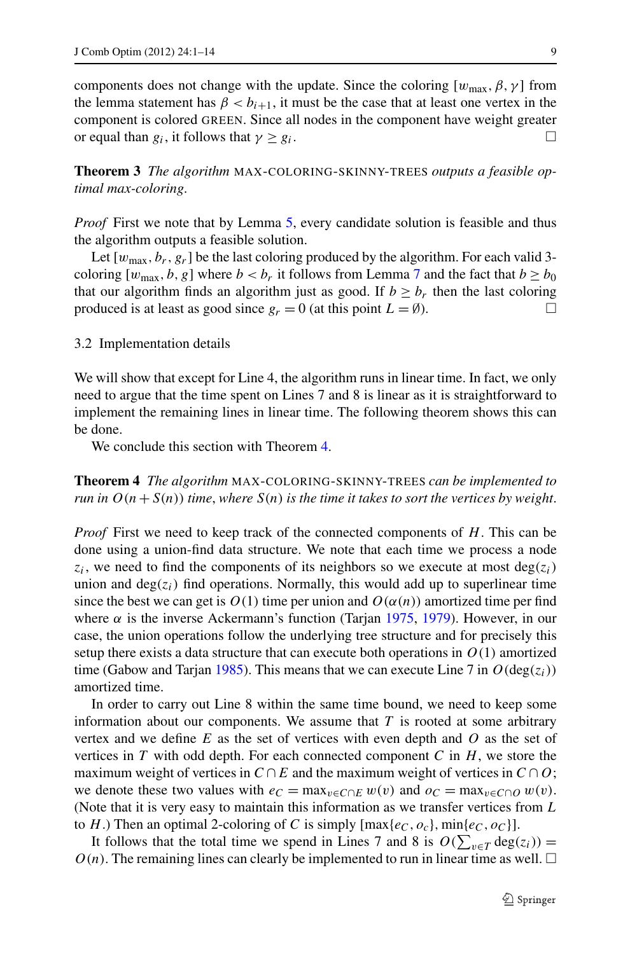components does not change with the update. Since the coloring  $[w_{\text{max}}, \beta, \gamma]$  from the lemma statement has  $\beta < b_{i+1}$ , it must be the case that at least one vertex in the component is colored GREEN. Since all nodes in the component have weight greater or equal than  $g_i$ , it follows that  $\gamma \geq g_i$ .

**Theorem 3** *The algorithm* MAX-COLORING-SKINNY-TREES *outputs a feasible optimal max-coloring*.

*Proof* First we note that by Lemma [5](#page-7-0), every candidate solution is feasible and thus the algorithm outputs a feasible solution.

Let  $[w_{\text{max}}, b_r, g_r]$  be the last coloring produced by the algorithm. For each valid 3coloring  $[w_{\text{max}}, b, g]$  where  $b < b_r$  it follows from Lemma [7](#page-7-1) and the fact that  $b \ge b_0$ that our algorithm finds an algorithm just as good. If  $b \geq b_r$  then the last coloring produced is at least as good since  $g_r = 0$  (at this point  $L = \emptyset$ ).

<span id="page-8-0"></span>3.2 Implementation details

We will show that except for Line 4, the algorithm runs in linear time. In fact, we only need to argue that the time spent on Lines 7 and 8 is linear as it is straightforward to implement the remaining lines in linear time. The following theorem shows this can be done.

We conclude this section with Theorem [4.](#page-8-0)

**Theorem 4** *The algorithm* MAX-COLORING-SKINNY-TREES *can be implemented to run in*  $O(n + S(n))$  *time, where*  $S(n)$  *is the time it takes to sort the vertices by weight.* 

*Proof* First we need to keep track of the connected components of *H*. This can be done using a union-find data structure. We note that each time we process a node  $z_i$ , we need to find the components of its neighbors so we execute at most deg( $z_i$ ) union and  $deg(z_i)$  find operations. Normally, this would add up to superlinear time since the best we can get is  $O(1)$  time per union and  $O(\alpha(n))$  amortized time per find where  $\alpha$  is the inverse Ackermann's function (Tarjan [1975,](#page-13-10) [1979](#page-13-11)). However, in our case, the union operations follow the underlying tree structure and for precisely this setup there exists a data structure that can execute both operations in  $O(1)$  amortized time (Gabow and Tarjan [1985\)](#page-13-12). This means that we can execute Line 7 in  $O(\deg(z_i))$ amortized time.

In order to carry out Line 8 within the same time bound, we need to keep some information about our components. We assume that *T* is rooted at some arbitrary vertex and we define *E* as the set of vertices with even depth and *O* as the set of vertices in *T* with odd depth. For each connected component *C* in *H*, we store the maximum weight of vertices in  $C \cap E$  and the maximum weight of vertices in  $C \cap O$ ; we denote these two values with  $e_C = \max_{v \in C \cap E} w(v)$  and  $o_C = \max_{v \in C \cap O} w(v)$ . (Note that it is very easy to maintain this information as we transfer vertices from *L* to *H*.) Then an optimal 2-coloring of *C* is simply  $\left[\max\{e_C, o_c\}, \min\{e_C, o_C\}\right]$ .

It follows that the total time we spend in Lines 7 and 8 is  $O(\sum_{v \in T} deg(z_i))$  =  $O(n)$ . The remaining lines can clearly be implemented to run in linear time as well.  $\Box$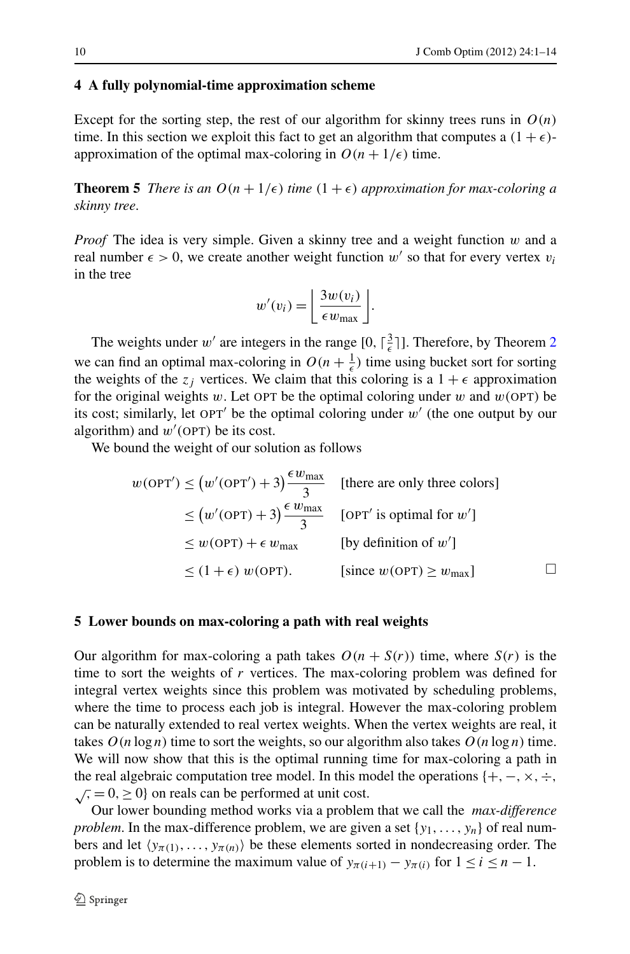#### <span id="page-9-0"></span>**4 A fully polynomial-time approximation scheme**

Except for the sorting step, the rest of our algorithm for skinny trees runs in  $O(n)$ time. In this section we exploit this fact to get an algorithm that computes a  $(1 + \epsilon)$ approximation of the optimal max-coloring in  $O(n + 1/\epsilon)$  time.

**Theorem 5** *There is an*  $O(n + 1/\epsilon)$  *time*  $(1 + \epsilon)$  *approximation for max-coloring a skinny tree*.

*Proof* The idea is very simple. Given a skinny tree and a weight function *w* and a real number  $\epsilon > 0$ , we create another weight function w' so that for every vertex  $v_i$ in the tree

$$
w'(v_i) = \left\lfloor \frac{3w(v_i)}{\epsilon w_{\max}} \right\rfloor.
$$

The weights under  $w'$  are integers in the range  $[0, \lceil \frac{3}{\epsilon} \rceil]$ . Therefore, by Theorem [2](#page-5-1) we can find an optimal max-coloring in  $O(n + \frac{1}{\epsilon})$  time using bucket sort for sorting the weights of the  $z_j$  vertices. We claim that this coloring is a  $1 + \epsilon$  approximation for the original weights  $w$ . Let OPT be the optimal coloring under  $w$  and  $w$ (OPT) be its cost; similarly, let  $OPT'$  be the optimal coloring under  $w'$  (the one output by our algorithm) and  $w'$  (OPT) be its cost.

<span id="page-9-1"></span>We bound the weight of our solution as follows

$$
w(OPT') \le (w'(OPT') + 3) \frac{\epsilon w_{\text{max}}}{3} \quad \text{[there are only three colors]}
$$
  
\n
$$
\le (w'(OPT) + 3) \frac{\epsilon w_{\text{max}}}{3} \quad \text{[OPT' is optimal for } w']
$$
  
\n
$$
\le w(OPT) + \epsilon w_{\text{max}} \quad \text{[by definition of } w']
$$
  
\n
$$
\le (1 + \epsilon) w(OPT). \quad \text{[since } w(OPT) \ge w_{\text{max}}]
$$

#### **5 Lower bounds on max-coloring a path with real weights**

Our algorithm for max-coloring a path takes  $O(n + S(r))$  time, where  $S(r)$  is the time to sort the weights of *r* vertices. The max-coloring problem was defined for integral vertex weights since this problem was motivated by scheduling problems, where the time to process each job is integral. However the max-coloring problem can be naturally extended to real vertex weights. When the vertex weights are real, it takes  $O(n \log n)$  time to sort the weights, so our algorithm also takes  $O(n \log n)$  time. We will now show that this is the optimal running time for max-coloring a path in the real algebraic computation tree model. In this model the operations {+, −, ×, ÷,  $\sqrt{x}$ , = 0, ≥ 0} on reals can be performed at unit cost.

Our lower bounding method works via a problem that we call the *max-difference problem*. In the max-difference problem, we are given a set  $\{y_1, \ldots, y_n\}$  of real numbers and let  $\langle y_{\pi(1)},...,y_{\pi(n)} \rangle$  be these elements sorted in nondecreasing order. The problem is to determine the maximum value of  $y_{\pi(i+1)} - y_{\pi(i)}$  for  $1 \le i \le n - 1$ .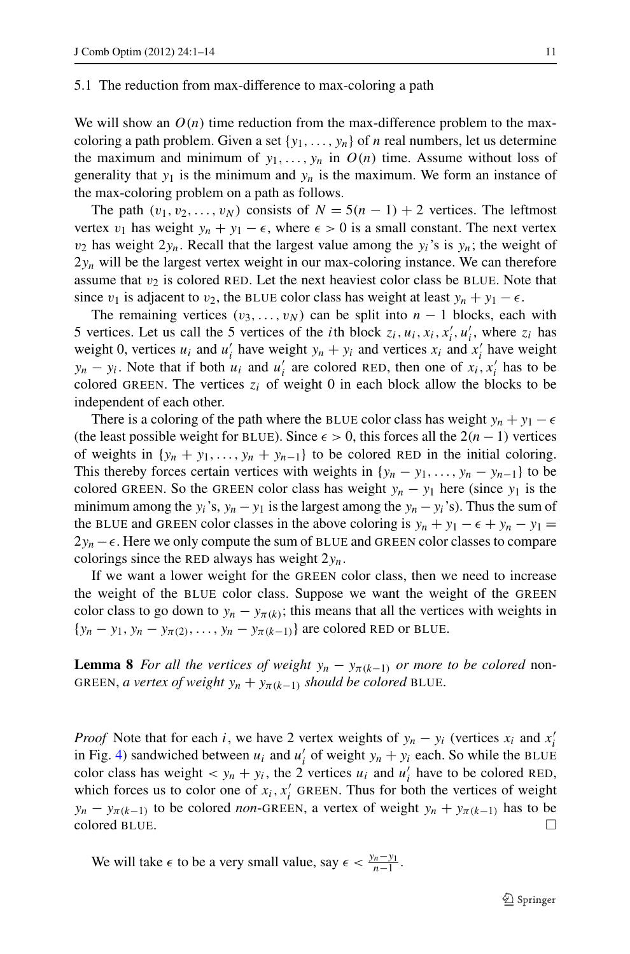#### 5.1 The reduction from max-difference to max-coloring a path

We will show an  $O(n)$  time reduction from the max-difference problem to the maxcoloring a path problem. Given a set  $\{y_1, \ldots, y_n\}$  of *n* real numbers, let us determine the maximum and minimum of  $y_1, \ldots, y_n$  in  $O(n)$  time. Assume without loss of generality that  $y_1$  is the minimum and  $y_n$  is the maximum. We form an instance of the max-coloring problem on a path as follows.

The path  $(v_1, v_2, \ldots, v_N)$  consists of  $N = 5(n - 1) + 2$  vertices. The leftmost vertex  $v_1$  has weight  $y_n + y_1 - \epsilon$ , where  $\epsilon > 0$  is a small constant. The next vertex  $v_2$  has weight  $2y_n$ . Recall that the largest value among the  $y_i$ 's is  $y_n$ ; the weight of  $2y_n$  will be the largest vertex weight in our max-coloring instance. We can therefore assume that  $v_2$  is colored RED. Let the next heaviest color class be BLUE. Note that since *v*<sub>1</sub> is adjacent to *v*<sub>2</sub>, the BLUE color class has weight at least  $y_n + y_1 - \epsilon$ .

The remaining vertices  $(v_3, \ldots, v_N)$  can be split into  $n-1$  blocks, each with 5 vertices. Let us call the 5 vertices of the *i*th block  $z_i$ ,  $u_i$ ,  $x_i$ ,  $x'_i$ ,  $u'_i$ , where  $z_i$  has weight 0, vertices  $u_i$  and  $u'_i$  have weight  $y_n + y_i$  and vertices  $x_i$  and  $x'_i$  have weight *y<sub>n</sub>* − *y<sub>i</sub>*. Note that if both *u<sub>i</sub>* and *u*<sub>*i*</sub> are colored RED, then one of *x<sub>i</sub>*, *x<sub>i</sub>* has to be colored GREEN. The vertices  $z_i$  of weight 0 in each block allow the blocks to be independent of each other.

There is a coloring of the path where the BLUE color class has weight  $y_n + y_1 - \epsilon$ (the least possible weight for BLUE). Since  $\epsilon > 0$ , this forces all the  $2(n - 1)$  vertices of weights in  $\{y_n + y_1, \ldots, y_n + y_{n-1}\}\$  to be colored RED in the initial coloring. This thereby forces certain vertices with weights in  $\{y_n - y_1, \ldots, y_n - y_{n-1}\}\$  to be colored GREEN. So the GREEN color class has weight  $y_n - y_1$  here (since  $y_1$  is the minimum among the *y<sub>i</sub>*'s, *y<sub>n</sub>* − *y*<sub>1</sub> is the largest among the *y<sub>n</sub>* − *y<sub>i</sub>*'s). Thus the sum of the BLUE and GREEN color classes in the above coloring is  $y_n + y_1 - \epsilon + y_n - y_1 =$  $2y_n - \epsilon$ . Here we only compute the sum of BLUE and GREEN color classes to compare colorings since the RED always has weight 2*yn*.

If we want a lower weight for the GREEN color class, then we need to increase the weight of the BLUE color class. Suppose we want the weight of the GREEN color class to go down to  $y_n - y_{\pi(k)}$ ; this means that all the vertices with weights in  ${y_n - y_1, y_n - y_{\pi(2)}, \ldots, y_n - y_{\pi(k-1)}}$  are colored RED or BLUE.

**Lemma 8** *For all the vertices of weight*  $y_n - y_{\pi(k-1)}$  *or more to be colored* non-GREEN, *a vertex of weight*  $y_n + y_{\pi(k-1)}$  *should be colored* BLUE.

*Proof* Note that for each *i*, we have 2 vertex weights of  $y_n - y_i$  (vertices  $x_i$  and  $x'_i$ in Fig. [4](#page-11-0)) sandwiched between  $u_i$  and  $u'_i$  of weight  $y_n + y_i$  each. So while the BLUE color class has weight  $< y_n + y_i$ , the 2 vertices  $u_i$  and  $u'_i$  have to be colored RED, which forces us to color one of  $x_i$ ,  $x'_i$  GREEN. Thus for both the vertices of weight *y<sub>n</sub>* − *y<sub>π(k−1)</sub>* to be colored *non*-GREEN, a vertex of weight *y<sub>n</sub>* + *y<sub>π(k−1)</sub>* has to be colored BLUE.

We will take  $\epsilon$  to be a very small value, say  $\epsilon < \frac{y_n - y_1}{n-1}$ .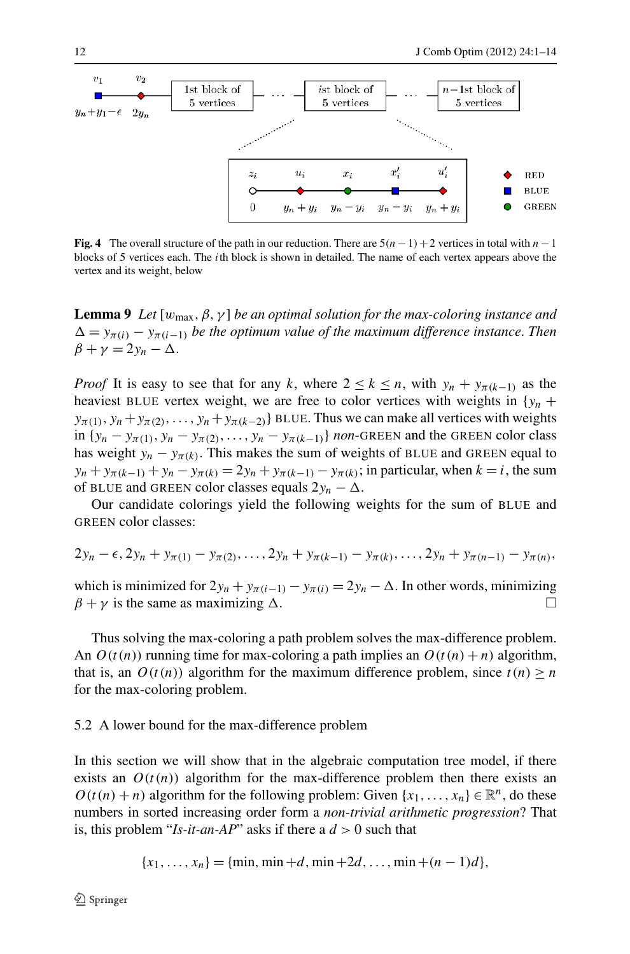<span id="page-11-0"></span>

**Fig. 4** The overall structure of the path in our reduction. There are 5*(n*−1*)*+2 vertices in total with *n*−1 blocks of 5 vertices each. The *i*th block is shown in detailed. The name of each vertex appears above the vertex and its weight, below

**Lemma 9** *Let*  $[w_{\text{max}}, \beta, \gamma]$  *be an optimal solution for the max-coloring instance and*  $\Delta = y_{\pi(i)} - y_{\pi(i-1)}$  *be the optimum value of the maximum difference instance. Then*  $\beta + \gamma = 2y_n - \Delta.$ 

*Proof* It is easy to see that for any *k*, where  $2 \le k \le n$ , with  $y_n + y_{\pi(k-1)}$  as the heaviest BLUE vertex weight, we are free to color vertices with weights in  ${y_n}$  +  $y_{\pi(1)}, y_n + y_{\pi(2)}, \ldots, y_n + y_{\pi(k-2)}$ } BLUE. Thus we can make all vertices with weights in  $\{y_n - y_{\pi(1)}, y_n - y_{\pi(2)}, \ldots, y_n - y_{\pi(k-1)}\}$  *non*-GREEN and the GREEN color class has weight  $y_n - y_{\pi(k)}$ . This makes the sum of weights of BLUE and GREEN equal to *yn* + *yπ*(*k*−1) + *yn* − *yπ*(*k*) = 2*yn* + *yπ*(*k*−1) − *yπ*(*k*); in particular, when *k* = *i*, the sum of BLUE and GREEN color classes equals  $2y_n - \Delta$ .

Our candidate colorings yield the following weights for the sum of BLUE and GREEN color classes:

$$
2y_n - \epsilon, 2y_n + y_{\pi(1)} - y_{\pi(2)}, \ldots, 2y_n + y_{\pi(k-1)} - y_{\pi(k)}, \ldots, 2y_n + y_{\pi(n-1)} - y_{\pi(n)},
$$

which is minimized for  $2y_n + y_{\pi(i-1)} - y_{\pi(i)} = 2y_n - \Delta$ . In other words, minimizing  $\beta + \gamma$  is the same as maximizing  $\Delta$ . . -

Thus solving the max-coloring a path problem solves the max-difference problem. An  $O(t(n))$  running time for max-coloring a path implies an  $O(t(n) + n)$  algorithm, that is, an  $O(t(n))$  algorithm for the maximum difference problem, since  $t(n) \geq n$ for the max-coloring problem.

#### 5.2 A lower bound for the max-difference problem

In this section we will show that in the algebraic computation tree model, if there exists an  $O(t(n))$  algorithm for the max-difference problem then there exists an  $O(t(n) + n)$  algorithm for the following problem: Given  $\{x_1, \ldots, x_n\} \in \mathbb{R}^n$ , do these numbers in sorted increasing order form a *non-trivial arithmetic progression*? That is, this problem "*Is-it-an-AP*" asks if there a *d >* 0 such that

$$
\{x_1, \ldots, x_n\} = \{\min, \min +d, \min +2d, \ldots, \min + (n-1)d\},\
$$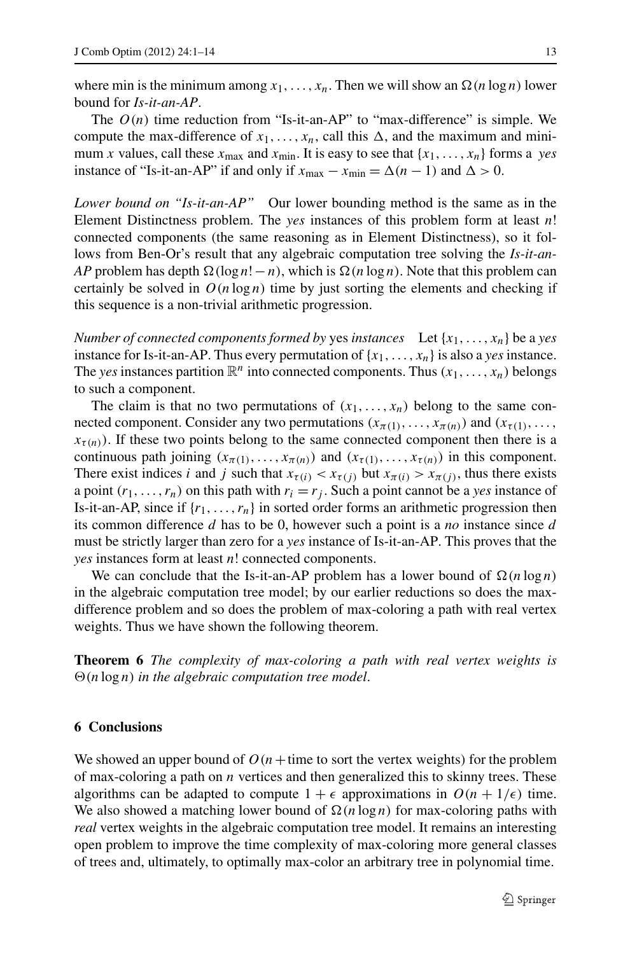where min is the minimum among  $x_1, \ldots, x_n$ . Then we will show an  $\Omega(n \log n)$  lower bound for *Is-it-an-AP*.

The  $O(n)$  time reduction from "Is-it-an-AP" to "max-difference" is simple. We compute the max-difference of  $x_1, \ldots, x_n$ , call this  $\Delta$ , and the maximum and minimum *x* values, call these  $x_{\text{max}}$  and  $x_{\text{min}}$ . It is easy to see that  $\{x_1, \ldots, x_n\}$  forms a *yes* instance of "Is-it-an-AP" if and only if  $x_{\text{max}} - x_{\text{min}} = \Delta(n - 1)$  and  $\Delta > 0$ .

*Lower bound on "Is-it-an-AP"* Our lower bounding method is the same as in the Element Distinctness problem. The *yes* instances of this problem form at least *n*! connected components (the same reasoning as in Element Distinctness), so it follows from Ben-Or's result that any algebraic computation tree solving the *Is-it-an-* $AP$  problem has depth  $\Omega(\log n! - n)$ , which is  $\Omega(n \log n)$ . Note that this problem can certainly be solved in  $O(n \log n)$  time by just sorting the elements and checking if this sequence is a non-trivial arithmetic progression.

*Number of connected components formed by yes <i>instances* Let  $\{x_1, \ldots, x_n\}$  be a *yes* instance for Is-it-an-AP. Thus every permutation of  $\{x_1, \ldots, x_n\}$  is also a *yes* instance. The *yes* instances partition  $\mathbb{R}^n$  into connected components. Thus  $(x_1, \ldots, x_n)$  belongs to such a component.

The claim is that no two permutations of  $(x_1, \ldots, x_n)$  belong to the same connected component. Consider any two permutations  $(x_{\pi(1)},...,x_{\pi(n)})$  and  $(x_{\tau(1)},...,x_{\tau(n)})$  $x_{\tau(n)}$ ). If these two points belong to the same connected component then there is a continuous path joining  $(x_{\pi(1)},...,x_{\pi(n)})$  and  $(x_{\tau(1)},...,x_{\tau(n)})$  in this component. There exist indices *i* and *j* such that  $x_{\tau(i)} < x_{\tau(i)}$  but  $x_{\tau(i)} > x_{\tau(i)}$ , thus there exists a point  $(r_1, \ldots, r_n)$  on this path with  $r_i = r_j$ . Such a point cannot be a *yes* instance of Is-it-an-AP, since if  $\{r_1, \ldots, r_n\}$  in sorted order forms an arithmetic progression then its common difference *d* has to be 0, however such a point is a *no* instance since *d* must be strictly larger than zero for a *yes* instance of Is-it-an-AP. This proves that the *yes* instances form at least *n*! connected components.

We can conclude that the Is-it-an-AP problem has a lower bound of  $\Omega(n \log n)$ in the algebraic computation tree model; by our earlier reductions so does the maxdifference problem and so does the problem of max-coloring a path with real vertex weights. Thus we have shown the following theorem.

**Theorem 6** *The complexity of max-coloring a path with real vertex weights is (n* log *n) in the algebraic computation tree model*.

#### **6 Conclusions**

We showed an upper bound of  $O(n + \text{time to sort the vertex weights})$  for the problem of max-coloring a path on *n* vertices and then generalized this to skinny trees. These algorithms can be adapted to compute  $1 + \epsilon$  approximations in  $O(n + 1/\epsilon)$  time. We also showed a matching lower bound of  $\Omega(n \log n)$  for max-coloring paths with *real* vertex weights in the algebraic computation tree model. It remains an interesting open problem to improve the time complexity of max-coloring more general classes of trees and, ultimately, to optimally max-color an arbitrary tree in polynomial time.